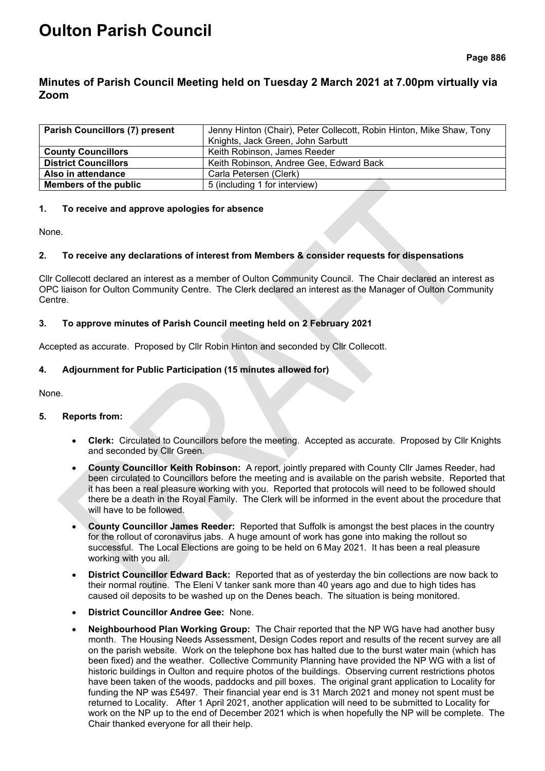# **Oulton Parish Council**

## **Minutes of Parish Council Meeting held on Tuesday 2 March 2021 at 7.00pm virtually via Zoom**

| <b>Parish Councillors (7) present</b> | Jenny Hinton (Chair), Peter Collecott, Robin Hinton, Mike Shaw, Tony |  |
|---------------------------------------|----------------------------------------------------------------------|--|
|                                       | Knights, Jack Green, John Sarbutt                                    |  |
| <b>County Councillors</b>             | Keith Robinson, James Reeder                                         |  |
| <b>District Councillors</b>           | Keith Robinson, Andree Gee, Edward Back                              |  |
| Also in attendance                    | Carla Petersen (Clerk)                                               |  |
| <b>Members of the public</b>          | 5 (including 1 for interview)                                        |  |

### **1. To receive and approve apologies for absence**

None.

## **2. To receive any declarations of interest from Members & consider requests for dispensations**

Cllr Collecott declared an interest as a member of Oulton Community Council. The Chair declared an interest as OPC liaison for Oulton Community Centre. The Clerk declared an interest as the Manager of Oulton Community Centre.

#### **3. To approve minutes of Parish Council meeting held on 2 February 2021**

Accepted as accurate. Proposed by Cllr Robin Hinton and seconded by Cllr Collecott.

#### **4. Adjournment for Public Participation (15 minutes allowed for)**

None.

#### **5. Reports from:**

- **Clerk:** Circulated to Councillors before the meeting. Accepted as accurate. Proposed by Cllr Knights and seconded by Cllr Green.
- **County Councillor Keith Robinson:** A report, jointly prepared with County Cllr James Reeder, had been circulated to Councillors before the meeting and is available on the parish website. Reported that it has been a real pleasure working with you. Reported that protocols will need to be followed should there be a death in the Royal Family. The Clerk will be informed in the event about the procedure that will have to be followed.
- **County Councillor James Reeder:** Reported that Suffolk is amongst the best places in the country for the rollout of coronavirus jabs. A huge amount of work has gone into making the rollout so successful. The Local Elections are going to be held on 6 May 2021. It has been a real pleasure working with you all.
- **District Councillor Edward Back:** Reported that as of yesterday the bin collections are now back to their normal routine. The Eleni V tanker sank more than 40 years ago and due to high tides has caused oil deposits to be washed up on the Denes beach. The situation is being monitored.
- **District Councillor Andree Gee:** None.
- **Neighbourhood Plan Working Group:** The Chair reported that the NP WG have had another busy month. The Housing Needs Assessment, Design Codes report and results of the recent survey are all on the parish website. Work on the telephone box has halted due to the burst water main (which has been fixed) and the weather. Collective Community Planning have provided the NP WG with a list of historic buildings in Oulton and require photos of the buildings. Observing current restrictions photos have been taken of the woods, paddocks and pill boxes. The original grant application to Locality for funding the NP was £5497. Their financial year end is 31 March 2021 and money not spent must be returned to Locality. After 1 April 2021, another application will need to be submitted to Locality for work on the NP up to the end of December 2021 which is when hopefully the NP will be complete. The Chair thanked everyone for all their help.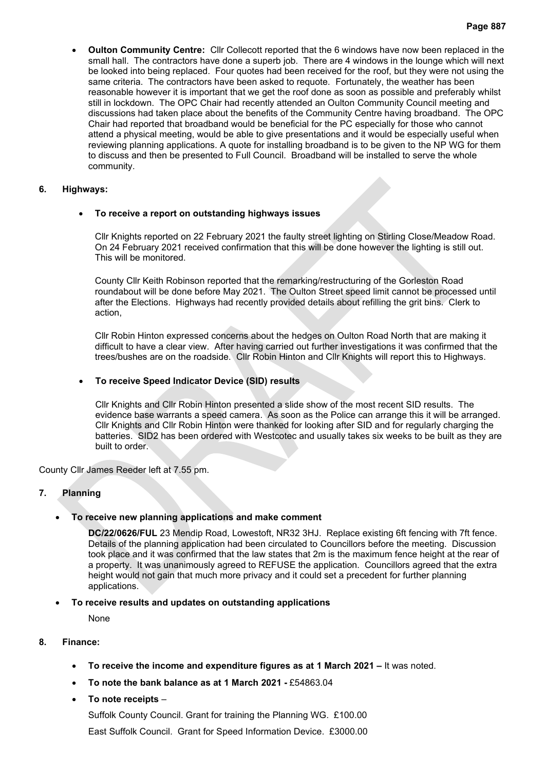• **Oulton Community Centre:** Cllr Collecott reported that the 6 windows have now been replaced in the small hall. The contractors have done a superb job. There are 4 windows in the lounge which will next be looked into being replaced. Four quotes had been received for the roof, but they were not using the same criteria. The contractors have been asked to requote. Fortunately, the weather has been reasonable however it is important that we get the roof done as soon as possible and preferably whilst still in lockdown. The OPC Chair had recently attended an Oulton Community Council meeting and discussions had taken place about the benefits of the Community Centre having broadband. The OPC Chair had reported that broadband would be beneficial for the PC especially for those who cannot attend a physical meeting, would be able to give presentations and it would be especially useful when reviewing planning applications. A quote for installing broadband is to be given to the NP WG for them to discuss and then be presented to Full Council. Broadband will be installed to serve the whole community.

#### **6. Highways:**

## • **To receive a report on outstanding highways issues**

Cllr Knights reported on 22 February 2021 the faulty street lighting on Stirling Close/Meadow Road. On 24 February 2021 received confirmation that this will be done however the lighting is still out. This will be monitored.

County Cllr Keith Robinson reported that the remarking/restructuring of the Gorleston Road roundabout will be done before May 2021. The Oulton Street speed limit cannot be processed until after the Elections. Highways had recently provided details about refilling the grit bins. Clerk to action,

Cllr Robin Hinton expressed concerns about the hedges on Oulton Road North that are making it difficult to have a clear view. After having carried out further investigations it was confirmed that the trees/bushes are on the roadside. Cllr Robin Hinton and Cllr Knights will report this to Highways.

## • **To receive Speed Indicator Device (SID) results**

Cllr Knights and Cllr Robin Hinton presented a slide show of the most recent SID results. The evidence base warrants a speed camera. As soon as the Police can arrange this it will be arranged. Cllr Knights and Cllr Robin Hinton were thanked for looking after SID and for regularly charging the batteries. SID2 has been ordered with Westcotec and usually takes six weeks to be built as they are built to order.

County Cllr James Reeder left at 7.55 pm.

## **7. Planning**

## • **To receive new planning applications and make comment**

**DC/22/0626/FUL** 23 Mendip Road, Lowestoft, NR32 3HJ. Replace existing 6ft fencing with 7ft fence. Details of the planning application had been circulated to Councillors before the meeting. Discussion took place and it was confirmed that the law states that 2m is the maximum fence height at the rear of a property. It was unanimously agreed to REFUSE the application. Councillors agreed that the extra height would not gain that much more privacy and it could set a precedent for further planning applications.

#### • **To receive results and updates on outstanding applications**

None

#### **8. Finance:**

- **To receive the income and expenditure figures as at 1 March 2021 –** It was noted.
- **To note the bank balance as at 1 March 2021 -** £54863.04
- **To note receipts** –

Suffolk County Council. Grant for training the Planning WG. £100.00 East Suffolk Council. Grant for Speed Information Device. £3000.00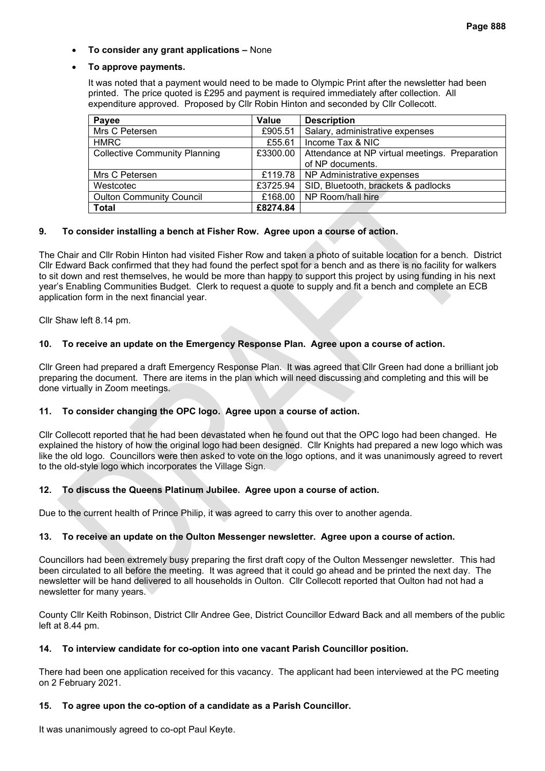## • **To consider any grant applications –** None

#### • **To approve payments.**

It was noted that a payment would need to be made to Olympic Print after the newsletter had been printed. The price quoted is £295 and payment is required immediately after collection. All expenditure approved. Proposed by Cllr Robin Hinton and seconded by Cllr Collecott.

| Payee                                | Value    | <b>Description</b>                             |
|--------------------------------------|----------|------------------------------------------------|
| Mrs C Petersen                       | £905.51  | Salary, administrative expenses                |
| <b>HMRC</b>                          | £55.61   | Income Tax & NIC                               |
| <b>Collective Community Planning</b> | £3300.00 | Attendance at NP virtual meetings. Preparation |
|                                      |          | of NP documents.                               |
| Mrs C Petersen                       |          | £119.78   NP Administrative expenses           |
| Westcotec                            | £3725.94 | SID, Bluetooth, brackets & padlocks            |
| <b>Oulton Community Council</b>      | £168.00  | NP Room/hall hire                              |
| <b>Total</b>                         | £8274.84 |                                                |

#### **9. To consider installing a bench at Fisher Row. Agree upon a course of action.**

The Chair and Cllr Robin Hinton had visited Fisher Row and taken a photo of suitable location for a bench. District Cllr Edward Back confirmed that they had found the perfect spot for a bench and as there is no facility for walkers to sit down and rest themselves, he would be more than happy to support this project by using funding in his next year's Enabling Communities Budget. Clerk to request a quote to supply and fit a bench and complete an ECB application form in the next financial year.

Cllr Shaw left 8.14 pm.

## **10. To receive an update on the Emergency Response Plan. Agree upon a course of action.**

Cllr Green had prepared a draft Emergency Response Plan. It was agreed that Cllr Green had done a brilliant job preparing the document. There are items in the plan which will need discussing and completing and this will be done virtually in Zoom meetings.

#### **11. To consider changing the OPC logo. Agree upon a course of action.**

Cllr Collecott reported that he had been devastated when he found out that the OPC logo had been changed. He explained the history of how the original logo had been designed. Cllr Knights had prepared a new logo which was like the old logo. Councillors were then asked to vote on the logo options, and it was unanimously agreed to revert to the old-style logo which incorporates the Village Sign.

#### **12. To discuss the Queens Platinum Jubilee. Agree upon a course of action.**

Due to the current health of Prince Philip, it was agreed to carry this over to another agenda.

## **13. To receive an update on the Oulton Messenger newsletter. Agree upon a course of action.**

Councillors had been extremely busy preparing the first draft copy of the Oulton Messenger newsletter. This had been circulated to all before the meeting. It was agreed that it could go ahead and be printed the next day. The newsletter will be hand delivered to all households in Oulton. Cllr Collecott reported that Oulton had not had a newsletter for many years.

County Cllr Keith Robinson, District Cllr Andree Gee, District Councillor Edward Back and all members of the public left at 8.44 pm.

#### **14. To interview candidate for co-option into one vacant Parish Councillor position.**

There had been one application received for this vacancy. The applicant had been interviewed at the PC meeting on 2 February 2021.

#### **15. To agree upon the co-option of a candidate as a Parish Councillor.**

It was unanimously agreed to co-opt Paul Keyte.